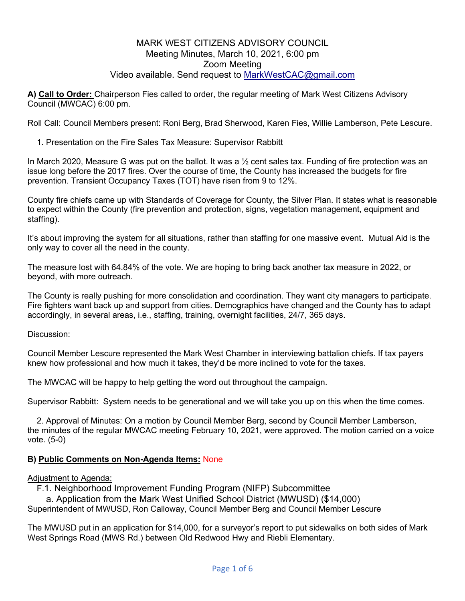## MARK WEST CITIZENS ADVISORY COUNCIL Meeting Minutes, March 10, 2021, 6:00 pm Zoom Meeting Video available. Send request to MarkWestCAC@gmail.com

**A) Call to Order:** Chairperson Fies called to order, the regular meeting of Mark West Citizens Advisory Council (MWCAC) 6:00 pm.

Roll Call: Council Members present: Roni Berg, Brad Sherwood, Karen Fies, Willie Lamberson, Pete Lescure.

1. Presentation on the Fire Sales Tax Measure: Supervisor Rabbitt

In March 2020, Measure G was put on the ballot. It was a ½ cent sales tax. Funding of fire protection was an issue long before the 2017 fires. Over the course of time, the County has increased the budgets for fire prevention. Transient Occupancy Taxes (TOT) have risen from 9 to 12%.

County fire chiefs came up with Standards of Coverage for County, the Silver Plan. It states what is reasonable to expect within the County (fire prevention and protection, signs, vegetation management, equipment and staffing).

It's about improving the system for all situations, rather than staffing for one massive event. Mutual Aid is the only way to cover all the need in the county.

The measure lost with 64.84% of the vote. We are hoping to bring back another tax measure in 2022, or beyond, with more outreach.

The County is really pushing for more consolidation and coordination. They want city managers to participate. Fire fighters want back up and support from cities. Demographics have changed and the County has to adapt accordingly, in several areas, i.e., staffing, training, overnight facilities, 24/7, 365 days.

Discussion:

Council Member Lescure represented the Mark West Chamber in interviewing battalion chiefs. If tax payers knew how professional and how much it takes, they'd be more inclined to vote for the taxes.

The MWCAC will be happy to help getting the word out throughout the campaign.

Supervisor Rabbitt: System needs to be generational and we will take you up on this when the time comes.

2. Approval of Minutes: On a motion by Council Member Berg, second by Council Member Lamberson, the minutes of the regular MWCAC meeting February 10, 2021, were approved. The motion carried on a voice vote. (5-0)

### **B) Public Comments on Non-Agenda Items:** None

Adjustment to Agenda:

F.1. Neighborhood Improvement Funding Program (NIFP) Subcommittee

a. Application from the Mark West Unified School District (MWUSD) (\$14,000)

Superintendent of MWUSD, Ron Calloway, Council Member Berg and Council Member Lescure

The MWUSD put in an application for \$14,000, for a surveyor's report to put sidewalks on both sides of Mark West Springs Road (MWS Rd.) between Old Redwood Hwy and Riebli Elementary.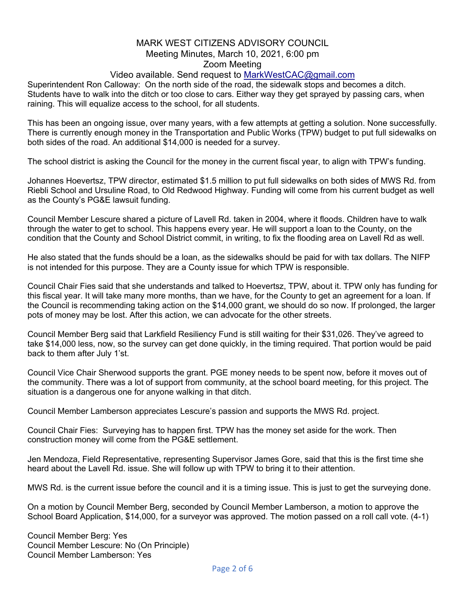### Video available. Send request to MarkWestCAC@gmail.com

Superintendent Ron Calloway: On the north side of the road, the sidewalk stops and becomes a ditch. Students have to walk into the ditch or too close to cars. Either way they get sprayed by passing cars, when raining. This will equalize access to the school, for all students.

This has been an ongoing issue, over many years, with a few attempts at getting a solution. None successfully. There is currently enough money in the Transportation and Public Works (TPW) budget to put full sidewalks on both sides of the road. An additional \$14,000 is needed for a survey.

The school district is asking the Council for the money in the current fiscal year, to align with TPW's funding.

Johannes Hoevertsz, TPW director, estimated \$1.5 million to put full sidewalks on both sides of MWS Rd. from Riebli School and Ursuline Road, to Old Redwood Highway. Funding will come from his current budget as well as the County's PG&E lawsuit funding.

Council Member Lescure shared a picture of Lavell Rd. taken in 2004, where it floods. Children have to walk through the water to get to school. This happens every year. He will support a loan to the County, on the condition that the County and School District commit, in writing, to fix the flooding area on Lavell Rd as well.

He also stated that the funds should be a loan, as the sidewalks should be paid for with tax dollars. The NIFP is not intended for this purpose. They are a County issue for which TPW is responsible.

Council Chair Fies said that she understands and talked to Hoevertsz, TPW, about it. TPW only has funding for this fiscal year. It will take many more months, than we have, for the County to get an agreement for a loan. If the Council is recommending taking action on the \$14,000 grant, we should do so now. If prolonged, the larger pots of money may be lost. After this action, we can advocate for the other streets.

Council Member Berg said that Larkfield Resiliency Fund is still waiting for their \$31,026. They've agreed to take \$14,000 less, now, so the survey can get done quickly, in the timing required. That portion would be paid back to them after July 1'st.

Council Vice Chair Sherwood supports the grant. PGE money needs to be spent now, before it moves out of the community. There was a lot of support from community, at the school board meeting, for this project. The situation is a dangerous one for anyone walking in that ditch.

Council Member Lamberson appreciates Lescure's passion and supports the MWS Rd. project.

Council Chair Fies: Surveying has to happen first. TPW has the money set aside for the work. Then construction money will come from the PG&E settlement.

Jen Mendoza, Field Representative, representing Supervisor James Gore, said that this is the first time she heard about the Lavell Rd. issue. She will follow up with TPW to bring it to their attention.

MWS Rd. is the current issue before the council and it is a timing issue. This is just to get the surveying done.

On a motion by Council Member Berg, seconded by Council Member Lamberson, a motion to approve the School Board Application, \$14,000, for a surveyor was approved. The motion passed on a roll call vote. (4-1)

Council Member Berg: Yes Council Member Lescure: No (On Principle) Council Member Lamberson: Yes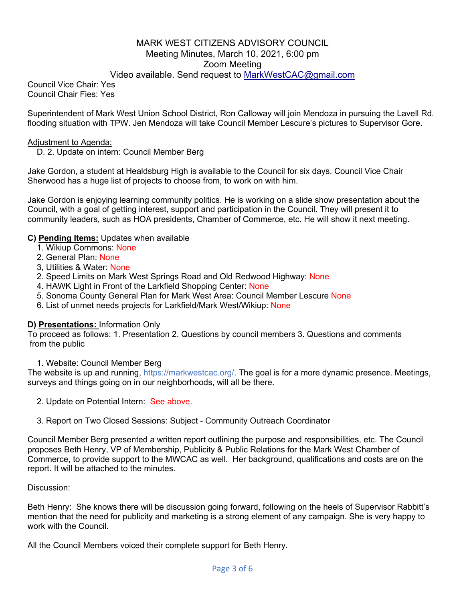## Video available. Send request to MarkWestCAC@gmail.com

Council Vice Chair: Yes Council Chair Fies: Yes

Superintendent of Mark West Union School District, Ron Calloway will join Mendoza in pursuing the Lavell Rd. flooding situation with TPW. Jen Mendoza will take Council Member Lescure's pictures to Supervisor Gore.

### Adjustment to Agenda:

D. 2. Update on intern: Council Member Berg

Jake Gordon, a student at Healdsburg High is available to the Council for six days. Council Vice Chair Sherwood has a huge list of projects to choose from, to work on with him.

Jake Gordon is enjoying learning community politics. He is working on a slide show presentation about the Council, with a goal of getting interest, support and participation in the Council. They will present it to community leaders, such as HOA presidents, Chamber of Commerce, etc. He will show it next meeting.

### **C) Pending Items:** Updates when available

- 1. Wikiup Commons: None
- 2. General Plan: None
- 3, Utilities & Water: None
- 2. Speed Limits on Mark West Springs Road and Old Redwood Highway: None
- 4. HAWK Light in Front of the Larkfield Shopping Center: None
- 5. Sonoma County General Plan for Mark West Area: Council Member Lescure None
- 6. List of unmet needs projects for Larkfield/Mark West/Wikiup: None

#### **D) Presentations:** Information Only

To proceed as follows: 1. Presentation 2. Questions by council members 3. Questions and comments from the public

1. Website: Council Member Berg

The website is up and running, https://markwestcac.org/. The goal is for a more dynamic presence. Meetings, surveys and things going on in our neighborhoods, will all be there.

- 2. Update on Potential Intern: See above.
- 3. Report on Two Closed Sessions: Subject Community Outreach Coordinator

Council Member Berg presented a written report outlining the purpose and responsibilities, etc. The Council proposes Beth Henry, VP of Membership, Publicity & Public Relations for the Mark West Chamber of Commerce, to provide support to the MWCAC as well. Her background, qualifications and costs are on the report. It will be attached to the minutes.

#### Discussion:

Beth Henry: She knows there will be discussion going forward, following on the heels of Supervisor Rabbitt's mention that the need for publicity and marketing is a strong element of any campaign. She is very happy to work with the Council.

All the Council Members voiced their complete support for Beth Henry.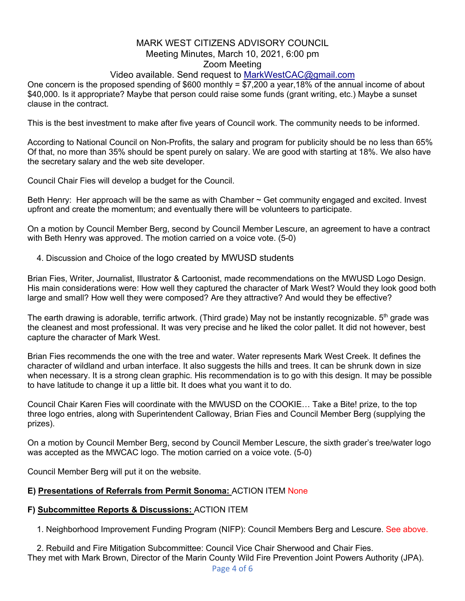## Video available. Send request to MarkWestCAC@gmail.com

One concern is the proposed spending of \$600 monthly = \$7,200 a year,18% of the annual income of about \$40,000. Is it appropriate? Maybe that person could raise some funds (grant writing, etc.) Maybe a sunset clause in the contract.

This is the best investment to make after five years of Council work. The community needs to be informed.

According to National Council on Non-Profits, the salary and program for publicity should be no less than 65% Of that, no more than 35% should be spent purely on salary. We are good with starting at 18%. We also have the secretary salary and the web site developer.

Council Chair Fies will develop a budget for the Council.

Beth Henry: Her approach will be the same as with Chamber ~ Get community engaged and excited. Invest upfront and create the momentum; and eventually there will be volunteers to participate.

On a motion by Council Member Berg, second by Council Member Lescure, an agreement to have a contract with Beth Henry was approved. The motion carried on a voice vote. (5-0)

4. Discussion and Choice of the logo created by MWUSD students

Brian Fies, Writer, Journalist, Illustrator & Cartoonist, made recommendations on the MWUSD Logo Design. His main considerations were: How well they captured the character of Mark West? Would they look good both large and small? How well they were composed? Are they attractive? And would they be effective?

The earth drawing is adorable, terrific artwork. (Third grade) May not be instantly recognizable.  $5<sup>th</sup>$  grade was the cleanest and most professional. It was very precise and he liked the color pallet. It did not however, best capture the character of Mark West.

Brian Fies recommends the one with the tree and water. Water represents Mark West Creek. It defines the character of wildland and urban interface. It also suggests the hills and trees. It can be shrunk down in size when necessary. It is a strong clean graphic. His recommendation is to go with this design. It may be possible to have latitude to change it up a little bit. It does what you want it to do.

Council Chair Karen Fies will coordinate with the MWUSD on the COOKIE… Take a Bite! prize, to the top three logo entries, along with Superintendent Calloway, Brian Fies and Council Member Berg (supplying the prizes).

On a motion by Council Member Berg, second by Council Member Lescure, the sixth grader's tree/water logo was accepted as the MWCAC logo. The motion carried on a voice vote. (5-0)

Council Member Berg will put it on the website.

### **E) Presentations of Referrals from Permit Sonoma:** ACTION ITEM None

### **F) Subcommittee Reports & Discussions:** ACTION ITEM

1. Neighborhood Improvement Funding Program (NIFP): Council Members Berg and Lescure. See above.

2. Rebuild and Fire Mitigation Subcommittee: Council Vice Chair Sherwood and Chair Fies. They met with Mark Brown, Director of the Marin County Wild Fire Prevention Joint Powers Authority (JPA).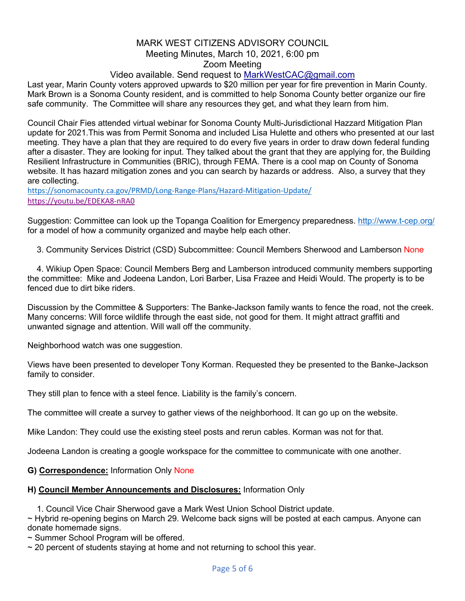## Video available. Send request to MarkWestCAC@gmail.com

Last year, Marin County voters approved upwards to \$20 million per year for fire prevention in Marin County. Mark Brown is a Sonoma County resident, and is committed to help Sonoma County better organize our fire safe community. The Committee will share any resources they get, and what they learn from him.

Council Chair Fies attended virtual webinar for Sonoma County Multi-Jurisdictional Hazzard Mitigation Plan update for 2021.This was from Permit Sonoma and included Lisa Hulette and others who presented at our last meeting. They have a plan that they are required to do every five years in order to draw down federal funding after a disaster. They are looking for input. They talked about the grant that they are applying for, the Building Resilient Infrastructure in Communities (BRIC), through FEMA. There is a cool map on County of Sonoma website. It has hazard mitigation zones and you can search by hazards or address. Also, a survey that they are collecting.

https://sonomacounty.ca.gov/PRMD/Long-Range-Plans/Hazard-Mitigation-Update/ https://youtu.be/EDEKA8-nRA0

Suggestion: Committee can look up the Topanga Coalition for Emergency preparedness. http://www.t-cep.org/ for a model of how a community organized and maybe help each other.

3. Community Services District (CSD) Subcommittee: Council Members Sherwood and Lamberson None

4. Wikiup Open Space: Council Members Berg and Lamberson introduced community members supporting the committee: Mike and Jodeena Landon, Lori Barber, Lisa Frazee and Heidi Would. The property is to be fenced due to dirt bike riders.

Discussion by the Committee & Supporters: The Banke-Jackson family wants to fence the road, not the creek. Many concerns: Will force wildlife through the east side, not good for them. It might attract graffiti and unwanted signage and attention. Will wall off the community.

Neighborhood watch was one suggestion.

Views have been presented to developer Tony Korman. Requested they be presented to the Banke-Jackson family to consider.

They still plan to fence with a steel fence. Liability is the family's concern.

The committee will create a survey to gather views of the neighborhood. It can go up on the website.

Mike Landon: They could use the existing steel posts and rerun cables. Korman was not for that.

Jodeena Landon is creating a google workspace for the committee to communicate with one another.

#### **G) Correspondence:** Information Only None

#### **H) Council Member Announcements and Disclosures:** Information Only

1. Council Vice Chair Sherwood gave a Mark West Union School District update.

 $\sim$  Hybrid re-opening begins on March 29. Welcome back signs will be posted at each campus. Anyone can donate homemade signs.

~ Summer School Program will be offered.

 $\sim$  20 percent of students staying at home and not returning to school this year.